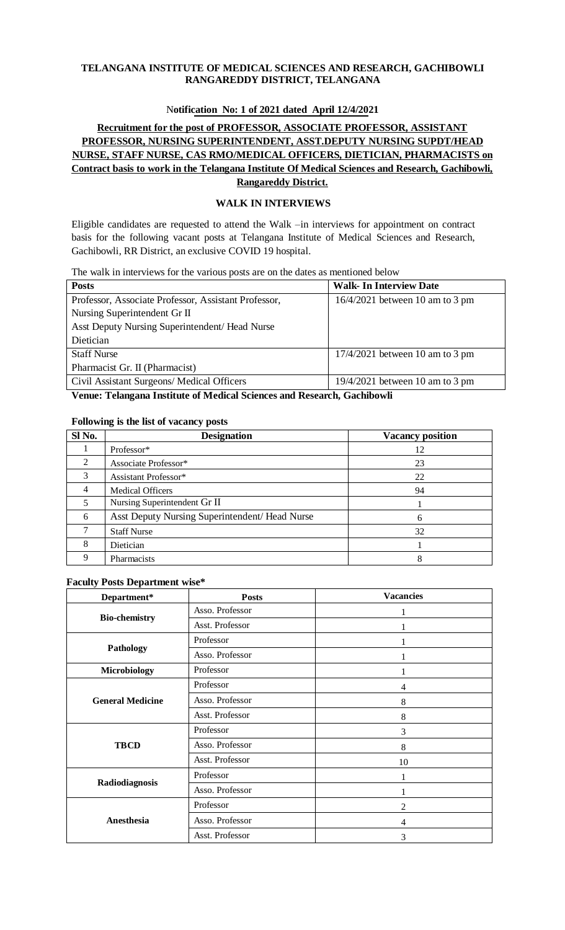### **TELANGANA INSTITUTE OF MEDICAL SCIENCES AND RESEARCH, GACHIBOWLI RANGAREDDY DISTRICT, TELANGANA**

## N**otification No: 1 of 2021 dated April 12/4/2021**

# **Recruitment for the post of PROFESSOR, ASSOCIATE PROFESSOR, ASSISTANT PROFESSOR, NURSING SUPERINTENDENT, ASST.DEPUTY NURSING SUPDT/HEAD NURSE, STAFF NURSE, CAS RMO/MEDICAL OFFICERS, DIETICIAN, PHARMACISTS on Contract basis to work in the Telangana Institute Of Medical Sciences and Research, Gachibowli, Rangareddy District.**

### **WALK IN INTERVIEWS**

Eligible candidates are requested to attend the Walk –in interviews for appointment on contract basis for the following vacant posts at Telangana Institute of Medical Sciences and Research, Gachibowli, RR District, an exclusive COVID 19 hospital.

The walk in interviews for the various posts are on the dates as mentioned below

| <b>Posts</b>                                                                                                                                                                              | <b>Walk- In Interview Date</b>                      |  |
|-------------------------------------------------------------------------------------------------------------------------------------------------------------------------------------------|-----------------------------------------------------|--|
| Professor, Associate Professor, Assistant Professor,                                                                                                                                      | $16/4/2021$ between 10 am to 3 pm                   |  |
| Nursing Superintendent Gr II                                                                                                                                                              |                                                     |  |
| Asst Deputy Nursing Superintendent/ Head Nurse                                                                                                                                            |                                                     |  |
| Dietician                                                                                                                                                                                 |                                                     |  |
| <b>Staff Nurse</b>                                                                                                                                                                        | $17/4/2021$ between 10 am to 3 pm                   |  |
| Pharmacist Gr. II (Pharmacist)                                                                                                                                                            |                                                     |  |
| Civil Assistant Surgeons/ Medical Officers                                                                                                                                                | $19/4/2021$ between 10 am to 3 pm                   |  |
| $\mathbf{m}$ , $\mathbf{r}$ , $\mathbf{r}$ , $\mathbf{r}$ , $\mathbf{r}$ , $\mathbf{r}$ , $\mathbf{r}$ , $\mathbf{r}$ , $\mathbf{r}$ , $\mathbf{r}$ , $\mathbf{r}$<br>T<br>$\blacksquare$ | $\mathbf{1}$ $\alpha$ $\mathbf{1}$ $\mathbf{u}$<br> |  |

**Venue: Telangana Institute of Medical Sciences and Research, Gachibowli**

#### **Following is the list of vacancy posts**

| Sl No. | <b>Designation</b>                             | <b>Vacancy position</b> |
|--------|------------------------------------------------|-------------------------|
|        | Professor*                                     | 12                      |
| 2      | Associate Professor*                           | 23                      |
| 3      | Assistant Professor*                           | 22                      |
| 4      | <b>Medical Officers</b>                        | 94                      |
| 5      | Nursing Superintendent Gr II                   |                         |
| 6      | Asst Deputy Nursing Superintendent/ Head Nurse | 6                       |
|        | <b>Staff Nurse</b>                             | 32                      |
| 8      | Dietician                                      |                         |
|        | Pharmacists                                    | 8                       |

### **Faculty Posts Department wise\***

| Department*             | <b>Posts</b>    | <b>Vacancies</b> |
|-------------------------|-----------------|------------------|
|                         | Asso. Professor |                  |
| <b>Bio-chemistry</b>    | Asst. Professor |                  |
|                         | Professor       |                  |
| Pathology               | Asso. Professor |                  |
| Microbiology            | Professor       |                  |
|                         | Professor       | 4                |
| <b>General Medicine</b> | Asso. Professor | 8                |
|                         | Asst. Professor | 8                |
|                         | Professor       | 3                |
| <b>TBCD</b>             | Asso. Professor | 8                |
|                         | Asst. Professor | 10               |
|                         | Professor       |                  |
| Radiodiagnosis          | Asso. Professor |                  |
|                         | Professor       | 2                |
| Anesthesia              | Asso. Professor | 4                |
|                         | Asst. Professor | 3                |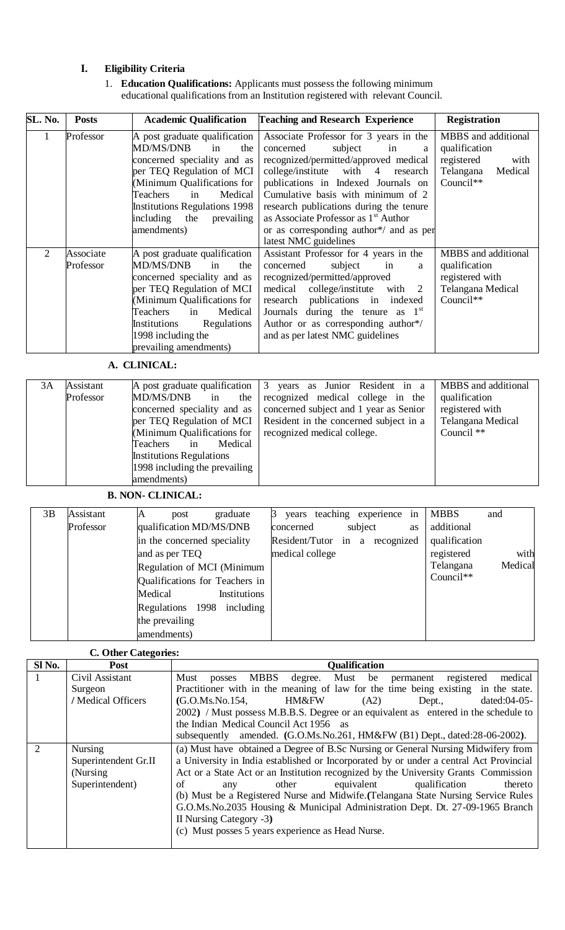# **I. Eligibility Criteria**

1. **Education Qualifications:** Applicants must possess the following minimum educational qualifications from an Institution registered with relevant Council.

| SL. No.        | <b>Posts</b>           | <b>Academic Qualification</b>                                                                                                                                                                                                                                             | <b>Teaching and Research Experience</b>                                                                                                                                                                                                                                                                                                                                                                    | <b>Registration</b>                                                                             |  |  |
|----------------|------------------------|---------------------------------------------------------------------------------------------------------------------------------------------------------------------------------------------------------------------------------------------------------------------------|------------------------------------------------------------------------------------------------------------------------------------------------------------------------------------------------------------------------------------------------------------------------------------------------------------------------------------------------------------------------------------------------------------|-------------------------------------------------------------------------------------------------|--|--|
| 1              | Professor              | A post graduate qualification<br><b>MD/MS/DNB</b><br>in<br>the<br>concerned speciality and as<br>per TEQ Regulation of MCI<br>(Minimum Qualifications for<br>Medical<br>Teachers<br>in<br><b>Institutions Regulations 1998</b><br>including the prevailing<br>amendments) | Associate Professor for 3 years in the<br>subject<br>concerned<br>in<br>a<br>recognized/permitted/approved medical<br>college/institute with 4<br>research<br>publications in Indexed Journals on<br>Cumulative basis with minimum of 2<br>research publications during the tenure<br>as Associate Professor as 1 <sup>st</sup> Author<br>or as corresponding author*/ and as per<br>latest NMC guidelines | MBBS and additional<br>qualification<br>registered<br>with<br>Telangana<br>Medical<br>Council** |  |  |
| $\overline{2}$ | Associate<br>Professor | A post graduate qualification<br>MD/MS/DNB<br>in<br>the<br>concerned speciality and as<br>per TEQ Regulation of MCI<br>(Minimum Qualifications for<br>Medical<br>Teachers<br>in<br>Regulations<br>Institutions<br>1998 including the<br>prevailing amendments)            | Assistant Professor for 4 years in the<br>subject<br>concerned<br>in<br>a<br>recognized/permitted/approved<br>medical college/institute<br>with 2<br>research publications in indexed<br>Journals during the tenure as $1st$<br>Author or as corresponding author*/<br>and as per latest NMC guidelines                                                                                                    | MBBS and additional<br>qualification<br>registered with<br>Telangana Medical<br>Council**       |  |  |
|                | A. CLINICAL:           |                                                                                                                                                                                                                                                                           |                                                                                                                                                                                                                                                                                                                                                                                                            |                                                                                                 |  |  |

| 3Α | Assistant<br>Professor | MD/MS/DNB<br>the<br>in<br>concerned speciality and as<br>per TEQ Regulation of MCI<br>(Minimum Qualifications for<br>Medical<br>Teachers<br>in<br><b>Institutions Regulations</b><br>1998 including the prevailing<br>amendments) | A post graduate qualification $\begin{vmatrix} 3 \\ \end{vmatrix}$ years as Junior Resident in a<br>recognized medical college in the<br>concerned subject and 1 year as Senior<br>Resident in the concerned subject in a<br>recognized medical college. | MBBS and additional<br>qualification<br>registered with<br>Telangana Medical<br>Council ** |
|----|------------------------|-----------------------------------------------------------------------------------------------------------------------------------------------------------------------------------------------------------------------------------|----------------------------------------------------------------------------------------------------------------------------------------------------------------------------------------------------------------------------------------------------------|--------------------------------------------------------------------------------------------|
|----|------------------------|-----------------------------------------------------------------------------------------------------------------------------------------------------------------------------------------------------------------------------------|----------------------------------------------------------------------------------------------------------------------------------------------------------------------------------------------------------------------------------------------------------|--------------------------------------------------------------------------------------------|

**B. NON- CLINICAL:**

| 3B | Assistant | post<br>ΙA                     | graduate     |                 | years teaching experience in   |    | <b>MBBS</b>   | and     |
|----|-----------|--------------------------------|--------------|-----------------|--------------------------------|----|---------------|---------|
|    | Professor | qualification MD/MS/DNB        |              | concerned       | subject                        | as | additional    |         |
|    |           | in the concerned speciality    |              |                 | Resident/Tutor in a recognized |    | qualification |         |
|    |           | and as per TEQ                 |              | medical college |                                |    | registered    | with    |
|    |           | Regulation of MCI (Minimum     |              |                 |                                |    | Telangana     | Medical |
|    |           | Qualifications for Teachers in |              |                 |                                |    | $Count^*$     |         |
|    |           | Medical                        | Institutions |                 |                                |    |               |         |
|    |           | Regulations 1998               | including    |                 |                                |    |               |         |
|    |           | the prevailing                 |              |                 |                                |    |               |         |
|    |           | amendments)                    |              |                 |                                |    |               |         |

# **C. Other Categories:**

| Sl <sub>No.</sub>           | o<br>Post            | <b>Qualification</b>                                                                   |
|-----------------------------|----------------------|----------------------------------------------------------------------------------------|
|                             | Civil Assistant      | <b>MBBS</b><br>degree. Must be permanent registered<br>medical<br>Must<br>posses       |
|                             | Surgeon              | Practitioner with in the meaning of law for the time being existing in the state.      |
|                             | / Medical Officers   | (G.O.Ms.No.154,<br>dated: $04-05-$<br>HM&FW<br>(A2)<br>Dept.,                          |
|                             |                      | 2002) / Must possess M.B.B.S. Degree or an equivalent as entered in the schedule to    |
|                             |                      | the Indian Medical Council Act 1956 as                                                 |
|                             |                      | subsequently amended. (G.O.Ms.No.261, HM&FW (B1) Dept., dated:28-06-2002).             |
| $\mathcal{D}_{\mathcal{L}}$ | <b>Nursing</b>       | (a) Must have obtained a Degree of B.Sc Nursing or General Nursing Midwifery from      |
|                             | Superintendent Gr.II | a University in India established or Incorporated by or under a central Act Provincial |
|                             | (Nursing)            | Act or a State Act or an Institution recognized by the University Grants Commission    |
|                             | Superintendent)      | equivalent<br>qualification<br>of<br>thereto<br>other<br>any                           |
|                             |                      | (b) Must be a Registered Nurse and Midwife. (Telangana State Nursing Service Rules     |
|                             |                      | G.O.Ms.No.2035 Housing & Municipal Administration Dept. Dt. 27-09-1965 Branch          |
|                             |                      | II Nursing Category -3)                                                                |
|                             |                      | (c) Must posses 5 years experience as Head Nurse.                                      |
|                             |                      |                                                                                        |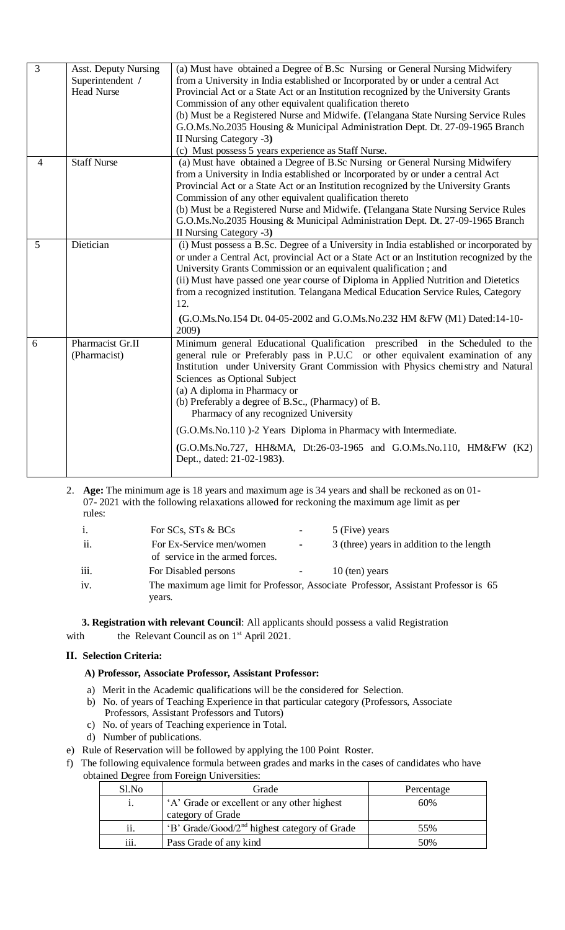| $\overline{3}$ | <b>Asst. Deputy Nursing</b><br>Superintendent /<br><b>Head Nurse</b> | (a) Must have obtained a Degree of B.Sc Nursing or General Nursing Midwifery<br>from a University in India established or Incorporated by or under a central Act<br>Provincial Act or a State Act or an Institution recognized by the University Grants<br>Commission of any other equivalent qualification thereto<br>(b) Must be a Registered Nurse and Midwife. (Telangana State Nursing Service Rules<br>G.O.Ms.No.2035 Housing & Municipal Administration Dept. Dt. 27-09-1965 Branch<br>II Nursing Category -3)<br>(c) Must possess 5 years experience as Staff Nurse.             |
|----------------|----------------------------------------------------------------------|------------------------------------------------------------------------------------------------------------------------------------------------------------------------------------------------------------------------------------------------------------------------------------------------------------------------------------------------------------------------------------------------------------------------------------------------------------------------------------------------------------------------------------------------------------------------------------------|
| $\overline{4}$ | <b>Staff Nurse</b>                                                   | (a) Must have obtained a Degree of B.Sc Nursing or General Nursing Midwifery<br>from a University in India established or Incorporated by or under a central Act<br>Provincial Act or a State Act or an Institution recognized by the University Grants<br>Commission of any other equivalent qualification thereto<br>(b) Must be a Registered Nurse and Midwife. (Telangana State Nursing Service Rules<br>G.O.Ms.No.2035 Housing & Municipal Administration Dept. Dt. 27-09-1965 Branch<br>II Nursing Category -3)                                                                    |
| 5              | Dietician                                                            | (i) Must possess a B.Sc. Degree of a University in India established or incorporated by<br>or under a Central Act, provincial Act or a State Act or an Institution recognized by the<br>University Grants Commission or an equivalent qualification; and<br>(ii) Must have passed one year course of Diploma in Applied Nutrition and Dietetics<br>from a recognized institution. Telangana Medical Education Service Rules, Category<br>12.<br>(G.O.Ms.No.154 Dt. 04-05-2002 and G.O.Ms.No.232 HM &FW (M1) Dated:14-10-<br>2009)                                                        |
| 6              | Pharmacist Gr.II<br>(Pharmacist)                                     | Minimum general Educational Qualification prescribed in the Scheduled to the<br>general rule or Preferably pass in P.U.C or other equivalent examination of any<br>Institution under University Grant Commission with Physics chemistry and Natural<br>Sciences as Optional Subject<br>(a) A diploma in Pharmacy or<br>(b) Preferably a degree of B.Sc., (Pharmacy) of B.<br>Pharmacy of any recognized University<br>(G.O.Ms.No.110)-2 Years Diploma in Pharmacy with Intermediate.<br>(G.O.Ms.No.727, HH&MA, Dt:26-03-1965 and G.O.Ms.No.110, HM&FW (K2)<br>Dept., dated: 21-02-1983). |

2. **Age:** The minimum age is 18 years and maximum age is 34 years and shall be reckoned as on 01- 07- 2021 with the following relaxations allowed for reckoning the maximum age limit as per rules:

| $\mathbf{i}$ . | For SCs, STs & BCs                                          | ж.     | 5 (Five) years                                                                      |
|----------------|-------------------------------------------------------------|--------|-------------------------------------------------------------------------------------|
| ii.            | For Ex-Service men/women<br>of service in the armed forces. | $\sim$ | 3 (three) years in addition to the length                                           |
| iii.           | For Disabled persons                                        | $\sim$ | $10$ (ten) years                                                                    |
| iv.            | years.                                                      |        | The maximum age limit for Professor, Associate Professor, Assistant Professor is 65 |

 **3. Registration with relevant Council**: All applicants should possess a valid Registration

with the Relevant Council as on  $1<sup>st</sup>$  April 2021.

# **II. Selection Criteria:**

# **A) Professor, Associate Professor, Assistant Professor:**

- a) Merit in the Academic qualifications will be the considered for Selection.
- b) No. of years of Teaching Experience in that particular category (Professors, Associate Professors, Assistant Professors and Tutors)
- c) No. of years of Teaching experience in Total.
- d) Number of publications.
- e) Rule of Reservation will be followed by applying the 100 Point Roster.
- f) The following equivalence formula between grades and marks in the cases of candidates who have obtained Degree from Foreign Universities:

| Sl.No | Grade                                                            | Percentage |
|-------|------------------------------------------------------------------|------------|
|       | 'A' Grade or excellent or any other highest<br>category of Grade | 60%        |
| ii.   | 'B' Grade/Good/2 <sup>nd</sup> highest category of Grade         | 55%        |
| iii.  | Pass Grade of any kind                                           | 50%        |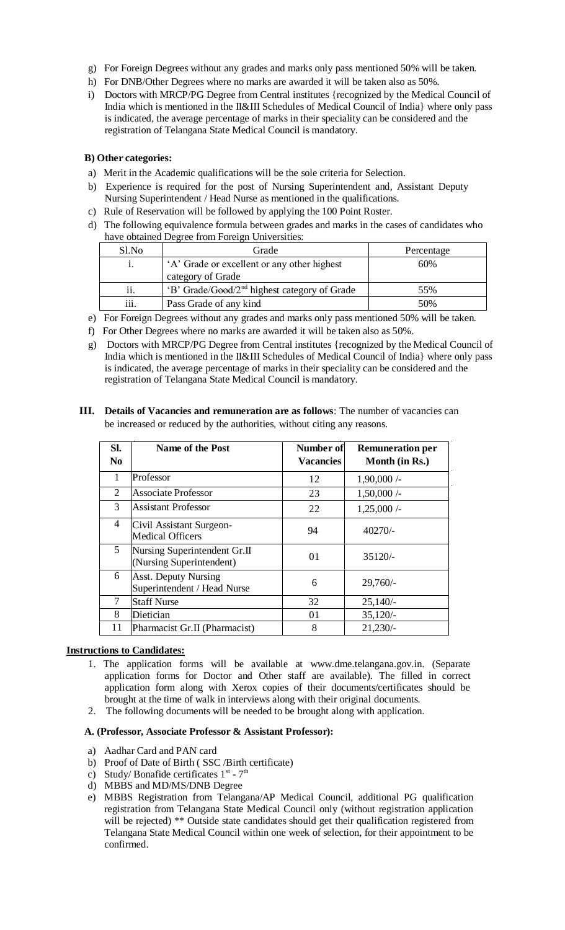- g) For Foreign Degrees without any grades and marks only pass mentioned 50% will be taken.
- h) For DNB/Other Degrees where no marks are awarded it will be taken also as 50%.
- i) Doctors with MRCP/PG Degree from Central institutes {recognized by the Medical Council of India which is mentioned in the II&III Schedules of Medical Council of India} where only pass is indicated, the average percentage of marks in their speciality can be considered and the registration of Telangana State Medical Council is mandatory.

## **B) Other categories:**

- a) Merit in the Academic qualifications will be the sole criteria for Selection.
- b) Experience is required for the post of Nursing Superintendent and, Assistant Deputy Nursing Superintendent / Head Nurse as mentioned in the qualifications.
- c) Rule of Reservation will be followed by applying the 100 Point Roster.
- d) The following equivalence formula between grades and marks in the cases of candidates who have obtained Degree from Foreign Universities:

| Sl.No            | Grade                                                    | Percentage |
|------------------|----------------------------------------------------------|------------|
| 1.               | 'A' Grade or excellent or any other highest              | 60%        |
|                  | category of Grade                                        |            |
| ii.              | 'B' Grade/Good/2 <sup>nd</sup> highest category of Grade | 55%        |
| $\cdots$<br>111. | Pass Grade of any kind                                   | 50%        |

- e) For Foreign Degrees without any grades and marks only pass mentioned 50% will be taken.
- f) For Other Degrees where no marks are awarded it will be taken also as 50%.
- g) Doctors with MRCP/PG Degree from Central institutes {recognized by the Medical Council of India which is mentioned in the II&III Schedules of Medical Council of India} where only pass is indicated, the average percentage of marks in their speciality can be considered and the registration of Telangana State Medical Council is mandatory.
- **III. Details of Vacancies and remuneration are as follows**: The number of vacancies can be increased or reduced by the authorities, without citing any reasons.

| SI.            | <b>Name of the Post</b>                                    | <b>Number of</b> | <b>Remuneration per</b> |
|----------------|------------------------------------------------------------|------------------|-------------------------|
| N <sub>0</sub> |                                                            | <b>Vacancies</b> | Month (in Rs.)          |
| 1              | Professor                                                  | 12               | $1,90,000/$ -           |
| 2              | <b>Associate Professor</b>                                 | 23               | $1,50,000/$ -           |
| 3              | <b>Assistant Professor</b>                                 | 22               | 1,25,000/               |
| 4              | Civil Assistant Surgeon-<br><b>Medical Officers</b>        | 94               | $40270/-$               |
| 5              | Nursing Superintendent Gr.II<br>(Nursing Superintendent)   | 01               | $35120/-$               |
| 6              | <b>Asst. Deputy Nursing</b><br>Superintendent / Head Nurse | 6                | $29,760/-$              |
| 7              | <b>Staff Nurse</b>                                         | 32               | $25,140/-$              |
| 8              | Dietician                                                  | 01               | $35,120/-$              |
| 11             | Pharmacist Gr.II (Pharmacist)                              | 8                | $21,230/-$              |

### **Instructions to Candidates:**

- 1. The application forms will be available at www.dme.telangana.gov.in. (Separate application forms for Doctor and Other staff are available). The filled in correct application form along with Xerox copies of their documents/certificates should be brought at the time of walk in interviews along with their original documents.
- 2. The following documents will be needed to be brought along with application.

#### **A. (Professor, Associate Professor & Assistant Professor):**

- a) Aadhar Card and PAN card
- b) Proof of Date of Birth ( SSC /Birth certificate)
- c) Study/Bonafide certificates  $1^{st}$   $7^{th}$
- d) MBBS and MD/MS/DNB Degree
- e) MBBS Registration from Telangana/AP Medical Council, additional PG qualification registration from Telangana State Medical Council only (without registration application will be rejected) \*\* Outside state candidates should get their qualification registered from Telangana State Medical Council within one week of selection, for their appointment to be confirmed.